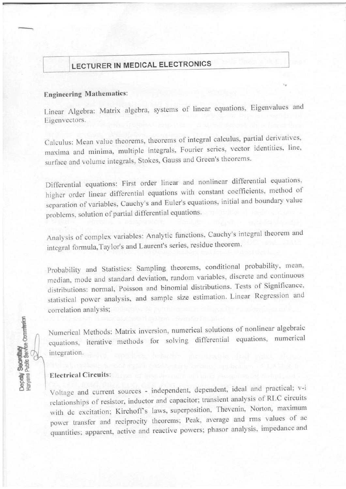# **LECTURER IN MEDICAL ELECTRONICS**

### **Engineering Mathematics:**

Linear Algebra: Matrix algebra, systems of linear equations, Eigenvalues and Eigenvectors.

Calculus: Mean value theorems, theorems of integral calculus, partial derivatives, maxima and minima, multiple integrals, Fourier series, vector identities, line, surface and volume integrals, Stokes, Gauss and Green's theorems.

Differential equations: First order linear and nonlinear differential equations, higher order linear differential equations with constant coefficients, method of separation of variables, Cauchy's and Euler's equations, initial and boundary value problems, solution of partial differential equations.

Analysis of complex variables: Analytic functions, Cauchy's integral theorem and integral formula, Taylor's and Laurent's series, residue theorem.

Probability and Statistics: Sampling theorems, conditional probability, mean, median, mode and standard deviation, random variables, discrete and continuous distributions: normal, Poisson and binomial distributions. Tests of Significance, statistical power analysis, and sample size estimation. Linear Regression and correlation analysis;

Numerical Methods: Matrix inversion, numerical solutions of nonlinear algebraic equations, iterative methods for solving differential equations, numerical integration.

## **Electrical Circuits:**

Deputy Secretary<br>Haryana Public Service Commission

Voltage and current sources - independent, dependent, ideal and practical; v-i relationships of resistor, inductor and capacitor; transient analysis of RLC circuits with dc excitation; Kirchoff's laws, superposition, Thevenin, Norton, maximum power transfer and reciprocity theorems; Peak, average and rms values of ac quantities; apparent, active and reactive powers; phasor analysis, impedance and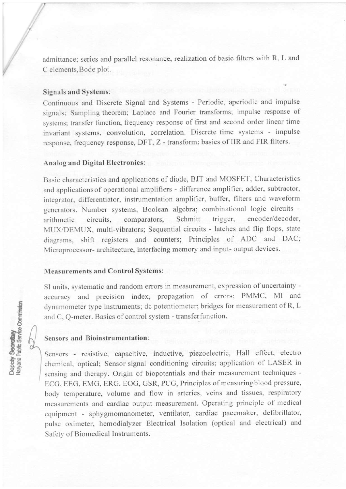admittance; series and parallel resonance, realization of basic filters with R, L and C elements,Bode plot.

#### Signals and Systems:

Continuous and Discrete Signal and Systems - Periodic, aperiodic and impulse signals; Sampling theorem; Laplace and Fourier transforms; impulse response of systems; transfer function, frequency response of first and second order linear time invariant systems, convolution, correlation. Discrete time systems - impulse response, frequency response, DFT, Z - transform; basics of IIR and FIR filters.

#### Analog and Digital Electronics:

Basic characteristics and applications of diode, BJT and MOSFET; Characteristics and applications of operational amplifiers - difference amplifier, adder, subtractor, integrator, differentiator, instrumentation amplifier, buffer, filters and waveform generators. Number systems, Boolean algebra; combinational logic circuits arithmetic circuits, comparators, Schmitt trigger, encoder/decoder, MUX/DEMUX, multi-vibrators; Sequential circuits - latches and flip flops, state diagrarns, shift registers and counters; Principles of ADC and DAC; Microprocessor- architecture, interfacing memory and input- output devices.

### Measurements and Control Systems:

SI units, systematic and random errors in measurement, expression of uncertainty accuracy and precision index, propagation of errors; PMMC, MI and dynamometer type instruments; dc potentiometer; bridges for measurement ofR, L and C, Q-meter. Basics of control system - transferfunction.

## Sensors and Bioinstrumentation:

Sensors - resistive, capacitive, inductive, piezoelectric, Hall effect, electro chemical, optical; Scnsor signal conditioning circuits; application of LASER in sensing and therapy. Origin of biopotentials and their measurement techniques - ECG. EEG, EMG, ERG, EOG, GSR, PCG, Principles of measuringblood pressure, body temperature, volume and flow in arteries, veins and tissues, respiratory measurements and cardiac output measurement. Operating principle of medical equipment - sphygmomanometer, ventilator, cardiac pacemaker, defibrillator, pulse oximeter, hemodialyzer Electrical Isolation (optical and electrical) and Safety of Biomedical Instruments.